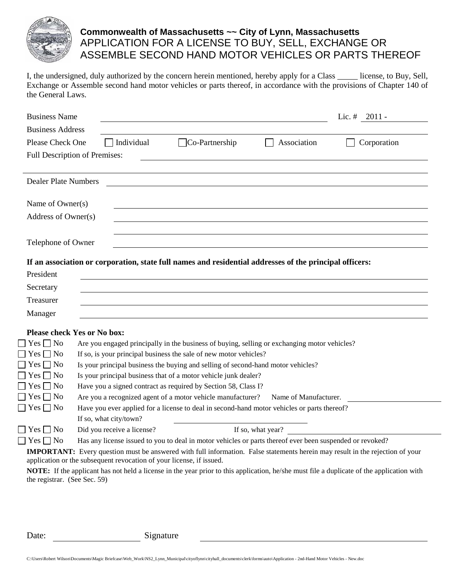

## **Commonwealth of Massachusetts ~~ City of Lynn, Massachusetts** APPLICATION FOR A LICENSE TO BUY, SELL, EXCHANGE OR ASSEMBLE SECOND HAND MOTOR VEHICLES OR PARTS THEREOF

I, the undersigned, duly authorized by the concern herein mentioned, hereby apply for a Class \_\_\_\_\_\_ license, to Buy, Sell, Exchange or Assemble second hand motor vehicles or parts thereof, in accordance with the provisions of Chapter 140 of the General Laws.

| <b>Business Name</b>        |                                                                                                                                      |                                                                                                                                                     |                   | Lic. $# \quad 2011 -$ |
|-----------------------------|--------------------------------------------------------------------------------------------------------------------------------------|-----------------------------------------------------------------------------------------------------------------------------------------------------|-------------------|-----------------------|
| <b>Business Address</b>     |                                                                                                                                      |                                                                                                                                                     |                   |                       |
| Please Check One            | Individual                                                                                                                           | $\Box$ Co-Partnership                                                                                                                               | Association       | Corporation           |
|                             | Full Description of Premises:                                                                                                        |                                                                                                                                                     |                   |                       |
| <b>Dealer Plate Numbers</b> |                                                                                                                                      |                                                                                                                                                     |                   |                       |
|                             |                                                                                                                                      |                                                                                                                                                     |                   |                       |
| Name of Owner(s)            |                                                                                                                                      |                                                                                                                                                     |                   |                       |
| Address of Owner(s)         |                                                                                                                                      |                                                                                                                                                     |                   |                       |
|                             |                                                                                                                                      |                                                                                                                                                     |                   |                       |
| Telephone of Owner          |                                                                                                                                      |                                                                                                                                                     |                   |                       |
|                             |                                                                                                                                      |                                                                                                                                                     |                   |                       |
|                             | If an association or corporation, state full names and residential addresses of the principal officers:                              |                                                                                                                                                     |                   |                       |
| President                   |                                                                                                                                      |                                                                                                                                                     |                   |                       |
| Secretary                   |                                                                                                                                      |                                                                                                                                                     |                   |                       |
| Treasurer                   |                                                                                                                                      |                                                                                                                                                     |                   |                       |
| Manager                     |                                                                                                                                      |                                                                                                                                                     |                   |                       |
|                             |                                                                                                                                      |                                                                                                                                                     |                   |                       |
| $Yes \Box No$               | <b>Please check Yes or No box:</b>                                                                                                   |                                                                                                                                                     |                   |                       |
| $Yes \Box No$               |                                                                                                                                      | Are you engaged principally in the business of buying, selling or exchanging motor vehicles?                                                        |                   |                       |
| $Yes \square No$            |                                                                                                                                      | If so, is your principal business the sale of new motor vehicles?                                                                                   |                   |                       |
| $Yes \Box No$               |                                                                                                                                      | Is your principal business the buying and selling of second-hand motor vehicles?<br>Is your principal business that of a motor vehicle junk dealer? |                   |                       |
| $\top$ Yes $\Box$ No        | Have you a signed contract as required by Section 58, Class I?                                                                       |                                                                                                                                                     |                   |                       |
| $\Box$ Yes $\Box$ No        | Are you a recognized agent of a motor vehicle manufacturer?<br>Name of Manufacturer.                                                 |                                                                                                                                                     |                   |                       |
| $\Box$ Yes $\Box$ No        | Have you ever applied for a license to deal in second-hand motor vehicles or parts thereof?                                          |                                                                                                                                                     |                   |                       |
|                             | If so, what city/town?                                                                                                               |                                                                                                                                                     |                   |                       |
| $\sqsupset$ Yes $\sqcap$ No | Did you receive a license?                                                                                                           |                                                                                                                                                     | If so, what year? |                       |
| $\Box$ Yes $\Box$ No        | Has any license issued to you to deal in motor vehicles or parts thereof ever been suspended or revoked?                             |                                                                                                                                                     |                   |                       |
|                             | <b>IMPORTANT:</b> Every question must be answered with full information. False statements herein may result in the rejection of your |                                                                                                                                                     |                   |                       |
|                             | application or the subsequent revocation of your license, if issued.                                                                 |                                                                                                                                                     |                   |                       |

**NOTE:** If the applicant has not held a license in the year prior to this application, he/she must file a duplicate of the application with the registrar. (See Sec. 59)

Date: Signature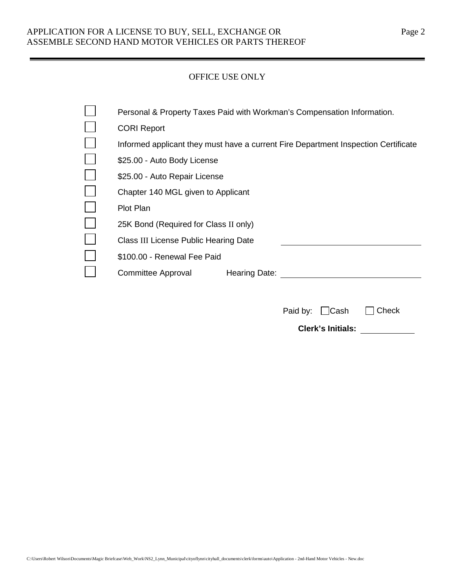## APPLICATION FOR A LICENSE TO BUY, SELL, EXCHANGE OR Page 2 ASSEMBLE SECOND HAND MOTOR VEHICLES OR PARTS THEREOF

### OFFICE USE ONLY

| Personal & Property Taxes Paid with Workman's Compensation Information.            |
|------------------------------------------------------------------------------------|
| <b>CORI Report</b>                                                                 |
| Informed applicant they must have a current Fire Department Inspection Certificate |
| \$25.00 - Auto Body License                                                        |
| \$25.00 - Auto Repair License                                                      |
| Chapter 140 MGL given to Applicant                                                 |
| <b>Plot Plan</b>                                                                   |
| 25K Bond (Required for Class II only)                                              |
| Class III License Public Hearing Date                                              |
| \$100.00 - Renewal Fee Paid                                                        |
| Committee Approval<br>Hearing Date:                                                |
|                                                                                    |

| Paid by: Cash Check      |  |
|--------------------------|--|
| <b>Clerk's Initials:</b> |  |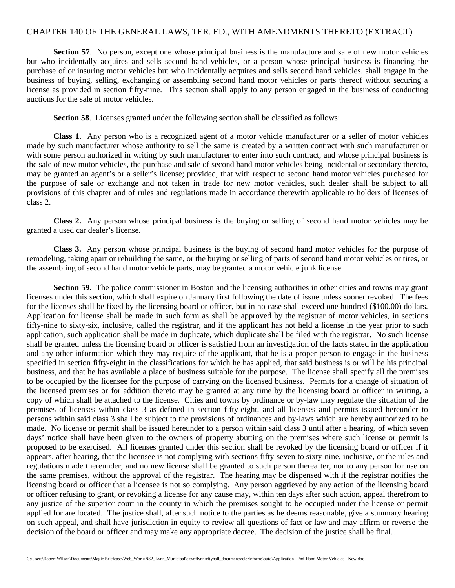#### CHAPTER 140 OF THE GENERAL LAWS, TER. ED., WITH AMENDMENTS THERETO (EXTRACT)

**Section 57.** No person, except one whose principal business is the manufacture and sale of new motor vehicles but who incidentally acquires and sells second hand vehicles, or a person whose principal business is financing the purchase of or insuring motor vehicles but who incidentally acquires and sells second hand vehicles, shall engage in the business of buying, selling, exchanging or assembling second hand motor vehicles or parts thereof without securing a license as provided in section fifty-nine. This section shall apply to any person engaged in the business of conducting auctions for the sale of motor vehicles.

**Section 58**. Licenses granted under the following section shall be classified as follows:

**Class 1.** Any person who is a recognized agent of a motor vehicle manufacturer or a seller of motor vehicles made by such manufacturer whose authority to sell the same is created by a written contract with such manufacturer or with some person authorized in writing by such manufacturer to enter into such contract, and whose principal business is the sale of new motor vehicles, the purchase and sale of second hand motor vehicles being incidental or secondary thereto, may be granted an agent's or a seller's license; provided, that with respect to second hand motor vehicles purchased for the purpose of sale or exchange and not taken in trade for new motor vehicles, such dealer shall be subject to all provisions of this chapter and of rules and regulations made in accordance therewith applicable to holders of licenses of class 2.

**Class 2.** Any person whose principal business is the buying or selling of second hand motor vehicles may be granted a used car dealer's license.

**Class 3.** Any person whose principal business is the buying of second hand motor vehicles for the purpose of remodeling, taking apart or rebuilding the same, or the buying or selling of parts of second hand motor vehicles or tires, or the assembling of second hand motor vehicle parts, may be granted a motor vehicle junk license.

**Section 59.** The police commissioner in Boston and the licensing authorities in other cities and towns may grant licenses under this section, which shall expire on January first following the date of issue unless sooner revoked. The fees for the licenses shall be fixed by the licensing board or officer, but in no case shall exceed one hundred (\$100.00) dollars. Application for license shall be made in such form as shall be approved by the registrar of motor vehicles, in sections fifty-nine to sixty-six, inclusive, called the registrar, and if the applicant has not held a license in the year prior to such application, such application shall be made in duplicate, which duplicate shall be filed with the registrar. No such license shall be granted unless the licensing board or officer is satisfied from an investigation of the facts stated in the application and any other information which they may require of the applicant, that he is a proper person to engage in the business specified in section fifty-eight in the classifications for which he has applied, that said business is or will be his principal business, and that he has available a place of business suitable for the purpose. The license shall specify all the premises to be occupied by the licensee for the purpose of carrying on the licensed business. Permits for a change of situation of the licensed premises or for addition thereto may be granted at any time by the licensing board or officer in writing, a copy of which shall be attached to the license. Cities and towns by ordinance or by-law may regulate the situation of the premises of licenses within class 3 as defined in section fifty-eight, and all licenses and permits issued hereunder to persons within said class 3 shall be subject to the provisions of ordinances and by-laws which are hereby authorized to be made. No license or permit shall be issued hereunder to a person within said class 3 until after a hearing, of which seven days' notice shall have been given to the owners of property abutting on the premises where such license or permit is proposed to be exercised. All licenses granted under this section shall be revoked by the licensing board or officer if it appears, after hearing, that the licensee is not complying with sections fifty-seven to sixty-nine, inclusive, or the rules and regulations made thereunder; and no new license shall be granted to such person thereafter, nor to any person for use on the same premises, without the approval of the registrar. The hearing may be dispensed with if the registrar notifies the licensing board or officer that a licensee is not so complying. Any person aggrieved by any action of the licensing board or officer refusing to grant, or revoking a license for any cause may, within ten days after such action, appeal therefrom to any justice of the superior court in the county in which the premises sought to be occupied under the license or permit applied for are located. The justice shall, after such notice to the parties as he deems reasonable, give a summary hearing on such appeal, and shall have jurisdiction in equity to review all questions of fact or law and may affirm or reverse the decision of the board or officer and may make any appropriate decree. The decision of the justice shall be final.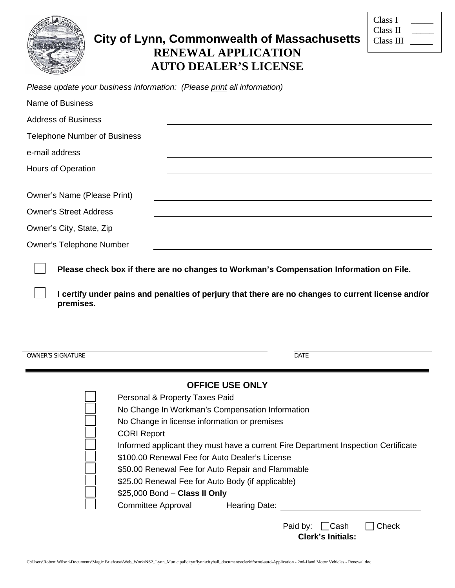

# **City of Lynn, Commonwealth of Massachusetts RENEWAL APPLICATION AUTO DEALER'S LICENSE**

| Class I   |  |
|-----------|--|
| Class II  |  |
| Class III |  |

*Please update your business information: (Please print all information)*

| <b>Name of Business</b>             |                                                                                                                                                                                                                                                                                                                                                                                                                                                |
|-------------------------------------|------------------------------------------------------------------------------------------------------------------------------------------------------------------------------------------------------------------------------------------------------------------------------------------------------------------------------------------------------------------------------------------------------------------------------------------------|
| <b>Address of Business</b>          |                                                                                                                                                                                                                                                                                                                                                                                                                                                |
| <b>Telephone Number of Business</b> |                                                                                                                                                                                                                                                                                                                                                                                                                                                |
| e-mail address                      |                                                                                                                                                                                                                                                                                                                                                                                                                                                |
| Hours of Operation                  |                                                                                                                                                                                                                                                                                                                                                                                                                                                |
| <b>Owner's Name (Please Print)</b>  |                                                                                                                                                                                                                                                                                                                                                                                                                                                |
| <b>Owner's Street Address</b>       |                                                                                                                                                                                                                                                                                                                                                                                                                                                |
| Owner's City, State, Zip            |                                                                                                                                                                                                                                                                                                                                                                                                                                                |
| <b>Owner's Telephone Number</b>     |                                                                                                                                                                                                                                                                                                                                                                                                                                                |
| premises.                           | I certify under pains and penalties of perjury that there are no changes to current license and/or                                                                                                                                                                                                                                                                                                                                             |
| <b>OWNER'S SIGNATURE</b>            | <b>DATE</b>                                                                                                                                                                                                                                                                                                                                                                                                                                    |
| <b>CORI Report</b>                  | <b>OFFICE USE ONLY</b><br>Personal & Property Taxes Paid<br>No Change In Workman's Compensation Information<br>No Change in license information or premises<br>Informed applicant they must have a current Fire Department Inspection Certificate<br>\$100.00 Renewal Fee for Auto Dealer's License<br>\$50.00 Renewal Fee for Auto Repair and Flammable<br>\$25.00 Renewal Fee for Auto Body (if applicable)<br>\$25,000 Bond - Class II Only |
| <b>Committee Approval</b>           | <b>Hearing Date:</b>                                                                                                                                                                                                                                                                                                                                                                                                                           |

| Paid by: $\Box$ Cash     |  | $\Box$ Check |
|--------------------------|--|--------------|
| <b>Clerk's Initials:</b> |  |              |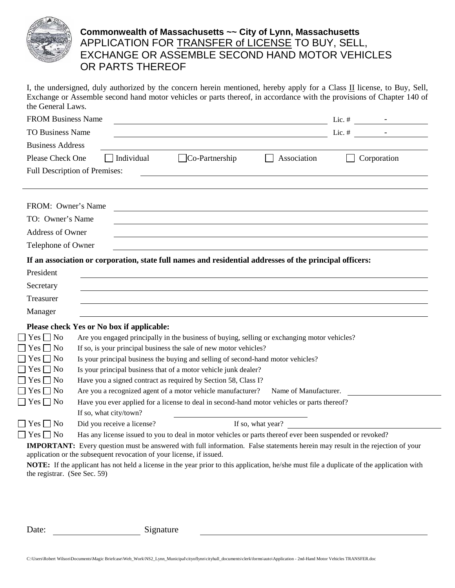

## **Commonwealth of Massachusetts ~~ City of Lynn, Massachusetts** APPLICATION FOR <u>TRANSFER of LICENSE</u> TO BUY, SELL, EXCHANGE OR ASSEMBLE SECOND HAND MOTOR VEHICLES OR PARTS THEREOF

I, the undersigned, duly authorized by the concern herein mentioned, hereby apply for a Class II license, to Buy, Sell, Exchange or Assemble second hand motor vehicles or parts thereof, in accordance with the provisions of Chapter 140 of the General Laws.

| <b>FROM Business Name</b>    |                                                                                                          |                       |                             | Lic. $#$ $-$                                                                                                                                     |
|------------------------------|----------------------------------------------------------------------------------------------------------|-----------------------|-----------------------------|--------------------------------------------------------------------------------------------------------------------------------------------------|
| <b>TO Business Name</b>      |                                                                                                          |                       |                             |                                                                                                                                                  |
| <b>Business Address</b>      |                                                                                                          |                       |                             |                                                                                                                                                  |
| Please Check One             | Individual                                                                                               | $\Box$ Co-Partnership | Association<br>$\mathbf{1}$ | Corporation                                                                                                                                      |
|                              | <b>Full Description of Premises:</b>                                                                     |                       |                             |                                                                                                                                                  |
|                              |                                                                                                          |                       |                             |                                                                                                                                                  |
|                              |                                                                                                          |                       |                             |                                                                                                                                                  |
| FROM: Owner's Name           |                                                                                                          |                       |                             |                                                                                                                                                  |
| TO: Owner's Name             |                                                                                                          |                       |                             |                                                                                                                                                  |
| Address of Owner             |                                                                                                          |                       |                             |                                                                                                                                                  |
| Telephone of Owner           |                                                                                                          |                       |                             |                                                                                                                                                  |
|                              | If an association or corporation, state full names and residential addresses of the principal officers:  |                       |                             |                                                                                                                                                  |
| President                    |                                                                                                          |                       |                             |                                                                                                                                                  |
|                              |                                                                                                          |                       |                             |                                                                                                                                                  |
| Secretary                    |                                                                                                          |                       |                             |                                                                                                                                                  |
| Treasurer                    |                                                                                                          |                       |                             |                                                                                                                                                  |
| Manager                      |                                                                                                          |                       |                             |                                                                                                                                                  |
|                              | Please check Yes or No box if applicable:                                                                |                       |                             |                                                                                                                                                  |
| $\Box$ Yes $\Box$ No         | Are you engaged principally in the business of buying, selling or exchanging motor vehicles?             |                       |                             |                                                                                                                                                  |
| $Yes \square No$             | If so, is your principal business the sale of new motor vehicles?                                        |                       |                             |                                                                                                                                                  |
| $\Box$ Yes $\Box$ No         | Is your principal business the buying and selling of second-hand motor vehicles?                         |                       |                             |                                                                                                                                                  |
| $\Box$ Yes $\Box$ No         | Is your principal business that of a motor vehicle junk dealer?                                          |                       |                             |                                                                                                                                                  |
| $\Box$ Yes $\Box$ No         | Have you a signed contract as required by Section 58, Class I?                                           |                       |                             |                                                                                                                                                  |
| $\Box$ Yes $\Box$ No         | Are you a recognized agent of a motor vehicle manufacturer?                                              |                       | Name of Manufacturer.       |                                                                                                                                                  |
| $\Box$ Yes $\Box$ No         | Have you ever applied for a license to deal in second-hand motor vehicles or parts thereof?              |                       |                             |                                                                                                                                                  |
|                              | If so, what city/town?                                                                                   |                       |                             |                                                                                                                                                  |
| $\Box$ Yes $\Box$ No         | Did you receive a license?                                                                               |                       | If so, what year?           |                                                                                                                                                  |
| $\Box$ Yes $\Box$ No         | Has any license issued to you to deal in motor vehicles or parts thereof ever been suspended or revoked? |                       |                             |                                                                                                                                                  |
|                              | application or the subsequent revocation of your license, if issued.                                     |                       |                             | <b>IMPORTANT:</b> Every question must be answered with full information. False statements herein may result in the rejection of your             |
|                              |                                                                                                          |                       |                             | <b>NOTE:</b> If the applicant has not held a license in the year prior to this application, he/she must file a duplicate of the application with |
| the registrar. (See Sec. 59) |                                                                                                          |                       |                             |                                                                                                                                                  |

Date: Signature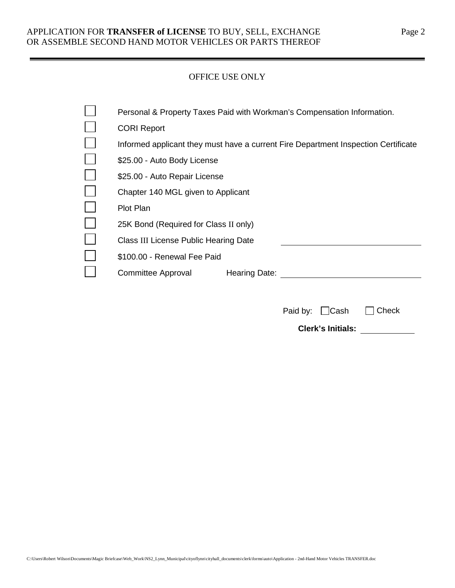### APPLICATION FOR **TRANSFER of LICENSE** TO BUY, SELL, EXCHANGE Page 2 OR ASSEMBLE SECOND HAND MOTOR VEHICLES OR PARTS THEREOF

#### OFFICE USE ONLY

| Personal & Property Taxes Paid with Workman's Compensation Information.            |
|------------------------------------------------------------------------------------|
| <b>CORI Report</b>                                                                 |
| Informed applicant they must have a current Fire Department Inspection Certificate |
| \$25.00 - Auto Body License                                                        |
| \$25.00 - Auto Repair License                                                      |
| Chapter 140 MGL given to Applicant                                                 |
| <b>Plot Plan</b>                                                                   |
| 25K Bond (Required for Class II only)                                              |
| Class III License Public Hearing Date                                              |
| \$100.00 - Renewal Fee Paid                                                        |
| Committee Approval<br><b>Hearing Date:</b>                                         |
|                                                                                    |

| Paid by: $\Box$ Cash     | $\Box$ Check |
|--------------------------|--------------|
| <b>Clerk's Initials:</b> |              |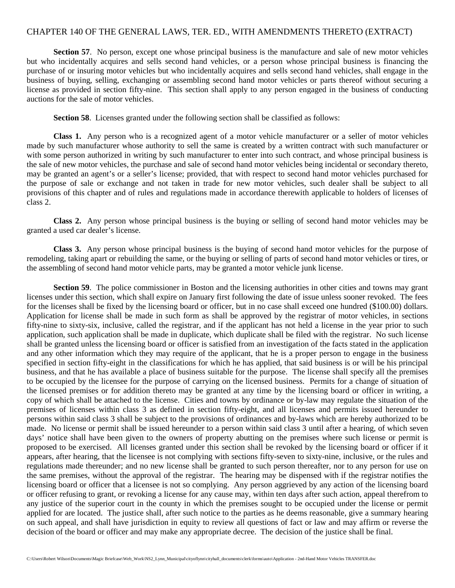#### CHAPTER 140 OF THE GENERAL LAWS, TER. ED., WITH AMENDMENTS THERETO (EXTRACT)

**Section 57.** No person, except one whose principal business is the manufacture and sale of new motor vehicles but who incidentally acquires and sells second hand vehicles, or a person whose principal business is financing the purchase of or insuring motor vehicles but who incidentally acquires and sells second hand vehicles, shall engage in the business of buying, selling, exchanging or assembling second hand motor vehicles or parts thereof without securing a license as provided in section fifty-nine. This section shall apply to any person engaged in the business of conducting auctions for the sale of motor vehicles.

**Section 58**. Licenses granted under the following section shall be classified as follows:

**Class 1.** Any person who is a recognized agent of a motor vehicle manufacturer or a seller of motor vehicles made by such manufacturer whose authority to sell the same is created by a written contract with such manufacturer or with some person authorized in writing by such manufacturer to enter into such contract, and whose principal business is the sale of new motor vehicles, the purchase and sale of second hand motor vehicles being incidental or secondary thereto, may be granted an agent's or a seller's license; provided, that with respect to second hand motor vehicles purchased for the purpose of sale or exchange and not taken in trade for new motor vehicles, such dealer shall be subject to all provisions of this chapter and of rules and regulations made in accordance therewith applicable to holders of licenses of class 2.

**Class 2.** Any person whose principal business is the buying or selling of second hand motor vehicles may be granted a used car dealer's license.

**Class 3.** Any person whose principal business is the buying of second hand motor vehicles for the purpose of remodeling, taking apart or rebuilding the same, or the buying or selling of parts of second hand motor vehicles or tires, or the assembling of second hand motor vehicle parts, may be granted a motor vehicle junk license.

**Section 59.** The police commissioner in Boston and the licensing authorities in other cities and towns may grant licenses under this section, which shall expire on January first following the date of issue unless sooner revoked. The fees for the licenses shall be fixed by the licensing board or officer, but in no case shall exceed one hundred (\$100.00) dollars. Application for license shall be made in such form as shall be approved by the registrar of motor vehicles, in sections fifty-nine to sixty-six, inclusive, called the registrar, and if the applicant has not held a license in the year prior to such application, such application shall be made in duplicate, which duplicate shall be filed with the registrar. No such license shall be granted unless the licensing board or officer is satisfied from an investigation of the facts stated in the application and any other information which they may require of the applicant, that he is a proper person to engage in the business specified in section fifty-eight in the classifications for which he has applied, that said business is or will be his principal business, and that he has available a place of business suitable for the purpose. The license shall specify all the premises to be occupied by the licensee for the purpose of carrying on the licensed business. Permits for a change of situation of the licensed premises or for addition thereto may be granted at any time by the licensing board or officer in writing, a copy of which shall be attached to the license. Cities and towns by ordinance or by-law may regulate the situation of the premises of licenses within class 3 as defined in section fifty-eight, and all licenses and permits issued hereunder to persons within said class 3 shall be subject to the provisions of ordinances and by-laws which are hereby authorized to be made. No license or permit shall be issued hereunder to a person within said class 3 until after a hearing, of which seven days' notice shall have been given to the owners of property abutting on the premises where such license or permit is proposed to be exercised. All licenses granted under this section shall be revoked by the licensing board or officer if it appears, after hearing, that the licensee is not complying with sections fifty-seven to sixty-nine, inclusive, or the rules and regulations made thereunder; and no new license shall be granted to such person thereafter, nor to any person for use on the same premises, without the approval of the registrar. The hearing may be dispensed with if the registrar notifies the licensing board or officer that a licensee is not so complying. Any person aggrieved by any action of the licensing board or officer refusing to grant, or revoking a license for any cause may, within ten days after such action, appeal therefrom to any justice of the superior court in the county in which the premises sought to be occupied under the license or permit applied for are located. The justice shall, after such notice to the parties as he deems reasonable, give a summary hearing on such appeal, and shall have jurisdiction in equity to review all questions of fact or law and may affirm or reverse the decision of the board or officer and may make any appropriate decree. The decision of the justice shall be final.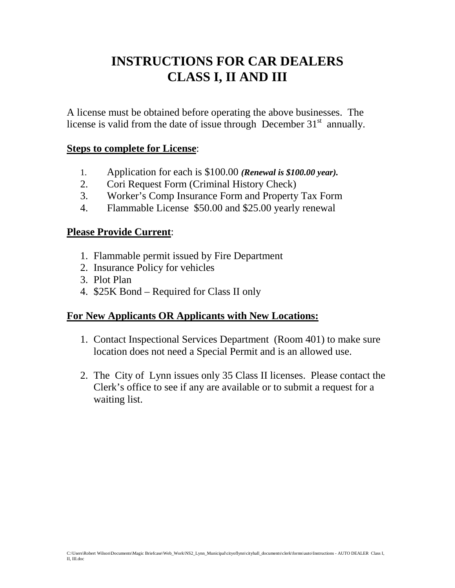# **INSTRUCTIONS FOR CAR DEALERS CLASS I, II AND III**

A license must be obtained before operating the above businesses. The license is valid from the date of issue through December  $31<sup>st</sup>$  annually.

## **Steps to complete for License**:

- 1. Application for each is \$100.00 *(Renewal is \$100.00 year).*
- 2. Cori Request Form (Criminal History Check)
- 3. Worker's Comp Insurance Form and Property Tax Form
- 4. Flammable License \$50.00 and \$25.00 yearly renewal

## **Please Provide Current**:

- 1. Flammable permit issued by Fire Department
- 2. Insurance Policy for vehicles
- 3. Plot Plan
- 4. \$25K Bond Required for Class II only

# **For New Applicants OR Applicants with New Locations:**

- 1. Contact Inspectional Services Department (Room 401) to make sure location does not need a Special Permit and is an allowed use.
- 2. The City of Lynn issues only 35 Class II licenses. Please contact the Clerk's office to see if any are available or to submit a request for a waiting list.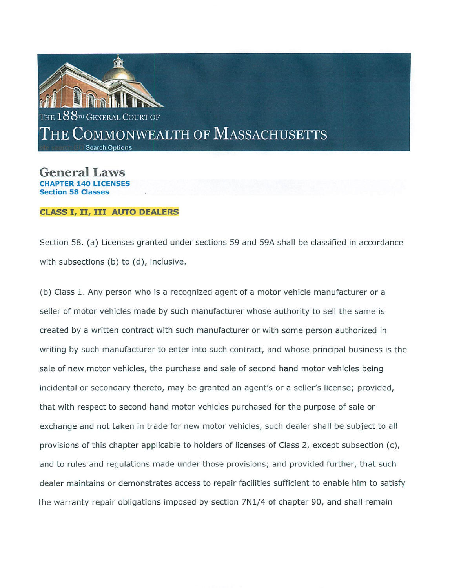

General Laws **ED 140 LICENSES** 

#### **CLASS I, II, III AUTO DEALERS**

Section 58. (a) Licenses granted under sections 59 and 59A shall be classified in accordance with subsections (b) to (d), inclusive.

(b) Class 1. Any person who is a recognized agent of a motor vehicle manufacturer or a seller of motor vehicles made by such manufacturer whose authority to sell the same is created by a written contract with such manufacturer or with some person authorized in writing by such manufacturer to enter into such contract, and whose principal business is the sale of new motor vehicles, the purchase and sale of second hand motor vehicles being incidental or secondary thereto, may be granted an agent's or a seller's license; provided, that with respect to second hand motor vehicles purchased for the purpose of sale or exchange and not taken in trade for new motor vehicles, such dealer shall be subject to all provisions of this chapter applicable to holders of licenses of Class 2, except subsection (c), and to rules and regulations made under those provisions; and provided further, that such dealer maintains or demonstrates access to repair facilities sufficient to enable him to satisfy the warranty repair obligations imposed by section 7N1/4 of chapter 90, and shall remain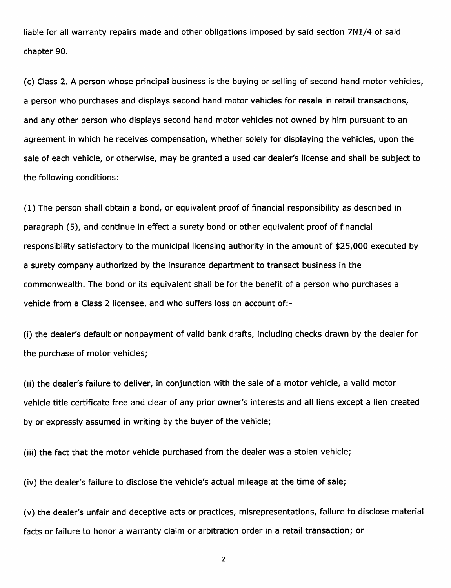liable for all warranty repairs made and other obligations imposed by said section 7N1/4 of said chapter 90.

(c) Class 2. A person whose principal business is the buying or selling of second hand motor vehicles, a person who purchases and displays second hand motor vehicles for resale in retail transactions, and any other person who displays second hand motor vehicles not owned by him pursuant to an agreement in which he receives compensation, whether solely for displaying the vehicles, upon the sale of each vehicle, or otherwise, may be granted a used car dealer's license and shall be subject to the following conditions:

(1) The person shall obtain a bond, or equivalent proof of financial responsibility as described in paragraph (5), and continue in effect a surety bond or other equivalent proof of financial responsibility satisfactory to the municipal licensing authority in the amount of \$25,000 executed by a surety company authorized by the insurance department to transact business in the commonwealth. The bond or its equivalent shall be for the benefit of a person who purchases a vehicle from a Class 2 licensee, and who suffers loss on account of:-

(i) the dealer's default or nonpayment of valid bank drafts, including checks drawn by the dealer for the purchase of motor vehicles;

(ii) the dealer's failure to deliver, in conjunction with the sale of a motor vehicle, a valid motor vehicle title certificate free and clear of any prior owner's interests and all liens except a lien created by or expressly assumed in writing by the buyer of the vehicle;

(iii) the fact that the motor vehicle purchased from the dealer was a stolen vehicle;

(iv) the dealer's failure to disclose the vehicle's actual mileage at the time of sale;

(v) the dealer's unfair and deceptive acts or practices, misrepresentations, failure to disclose material facts or failure to honor a warranty claim or arbitration order in a retail transaction; or

 $\overline{\mathbf{2}}$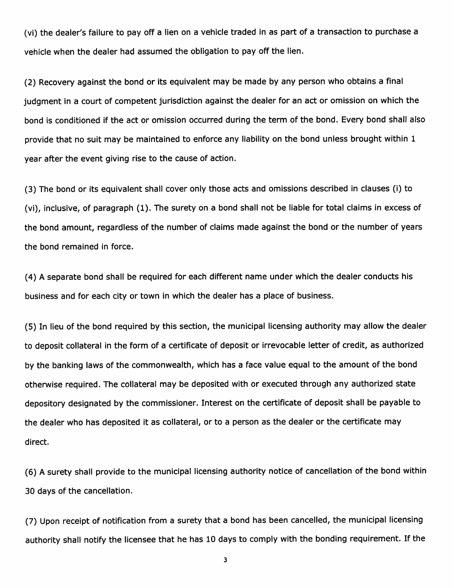(vi) the dealer's failure to pay off a lien on a vehicle traded in as part of a transaction to purchase a vehicle when the dealer had assumed the obligation to pay off the lien.

(2) Recovery against the bond or its equivalent may be made by any person who obtains a final judament in a court of competent jurisdiction against the dealer for an act or omission on which the bond is conditioned if the act or omission occurred during the term of the bond. Every bond shall also provide that no suit may be maintained to enforce any liability on the bond unless brought within 1 year after the event giving rise to the cause of action.

(3) The bond or its equivalent shall cover only those acts and omissions described in clauses (i) to (vi), inclusive, of paragraph (1). The surety on a bond shall not be liable for total claims in excess of the bond amount, regardless of the number of claims made against the bond or the number of years the bond remained in force.

(4) A separate bond shall be required for each different name under which the dealer conducts his business and for each city or town in which the dealer has a place of business.

(5) In lieu of the bond required by this section, the municipal licensing authority may allow the dealer to deposit collateral in the form of a certificate of deposit or irrevocable letter of credit, as authorized by the banking laws of the commonwealth, which has a face value equal to the amount of the bond otherwise required. The collateral may be deposited with or executed through any authorized state depository designated by the commissioner. Interest on the certificate of deposit shall be payable to the dealer who has deposited it as collateral, or to a person as the dealer or the certificate may direct.

(6) A surety shall provide to the municipal licensing authority notice of cancellation of the bond within 30 days of the cancellation.

(7) Upon receipt of notification from a surety that a bond has been cancelled, the municipal licensing authority shall notify the licensee that he has 10 days to comply with the bonding requirement. If the

 $\overline{\mathbf{3}}$